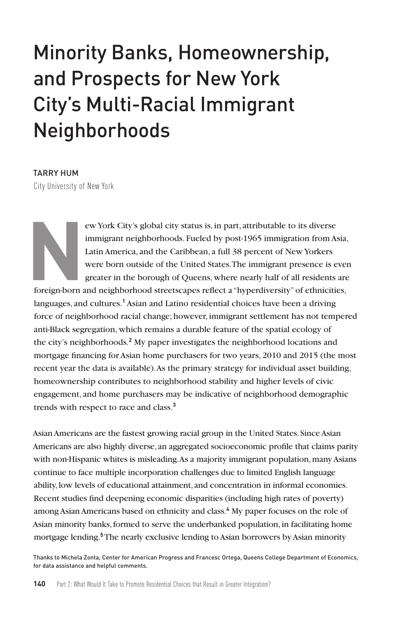# Minority Banks, Homeownership, and Prospects for New York City's Multi-Racial Immigrant Neighborhoods

TARRY HUM City University of New York

ERECTE THE ENERGY CITY STATE IS USED TO USE THE IMPLETED IN DETERMINDENT CONTROLLED IN DETERMINDENT DETERMINDENT USED IN THE USED IN A Latin America, and the Caribbean, a full 38 percent of New Yorkers were born outside of immigrant neighborhoods. Fueled by post-1965 immigration from Asia, Latin America, and the Caribbean, a full 38 percent of New Yorkers were born outside of the United States. The immigrant presence is even greater in the borough of Queens, where nearly half of all residents are

foreign-born and neighborhood streetscapes reflect a "hyperdiversity" of ethnicities, languages, and cultures.<sup>1</sup> Asian and Latino residential choices have been a driving force of neighborhood racial change; however, immigrant settlement has not tempered anti-Black segregation, which remains a durable feature of the spatial ecology of the city's neighborhoods.**<sup>2</sup>** My paper investigates the neighborhood locations and mortgage financing for Asian home purchasers for two years, 2010 and 2015 (the most recent year the data is available). As the primary strategy for individual asset building, homeownership contributes to neighborhood stability and higher levels of civic engagement, and home purchasers may be indicative of neighborhood demographic trends with respect to race and class.**<sup>3</sup>**

Asian Americans are the fastest growing racial group in the United States. Since Asian Americans are also highly diverse, an aggregated socioeconomic profile that claims parity with non-Hispanic whites is misleading. As a majority immigrant population, many Asians continue to face multiple incorporation challenges due to limited English language ability, low levels of educational attainment, and concentration in informal economies. Recent studies find deepening economic disparities (including high rates of poverty) among Asian Americans based on ethnicity and class.**<sup>4</sup>** My paper focuses on the role of Asian minority banks, formed to serve the underbanked population, in facilitating home mortgage lending.**<sup>5</sup>** The nearly exclusive lending to Asian borrowers by Asian minority

Thanks to Michela Zonta, Center for American Progress and Francesc Ortega, Queens College Department of Economics, for data assistance and helpful comments.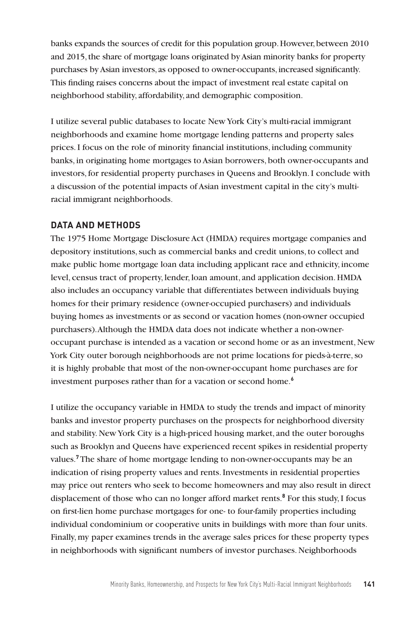banks expands the sources of credit for this population group. However, between 2010 and 2015, the share of mortgage loans originated by Asian minority banks for property purchases by Asian investors, as opposed to owner-occupants, increased significantly. This finding raises concerns about the impact of investment real estate capital on neighborhood stability, affordability, and demographic composition.

I utilize several public databases to locate New York City's multi-racial immigrant neighborhoods and examine home mortgage lending patterns and property sales prices. I focus on the role of minority financial institutions, including community banks, in originating home mortgages to Asian borrowers, both owner-occupants and investors, for residential property purchases in Queens and Brooklyn. I conclude with a discussion of the potential impacts of Asian investment capital in the city's multiracial immigrant neighborhoods.

#### **DATA AND METHODS**

The 1975 Home Mortgage Disclosure Act (HMDA) requires mortgage companies and depository institutions, such as commercial banks and credit unions, to collect and make public home mortgage loan data including applicant race and ethnicity, income level, census tract of property, lender, loan amount, and application decision. HMDA also includes an occupancy variable that differentiates between individuals buying homes for their primary residence (owner-occupied purchasers) and individuals buying homes as investments or as second or vacation homes (non-owner occupied purchasers). Although the HMDA data does not indicate whether a non-owneroccupant purchase is intended as a vacation or second home or as an investment, New York City outer borough neighborhoods are not prime locations for pieds-à-terre, so it is highly probable that most of the non-owner-occupant home purchases are for investment purposes rather than for a vacation or second home.**<sup>6</sup>**

I utilize the occupancy variable in HMDA to study the trends and impact of minority banks and investor property purchases on the prospects for neighborhood diversity and stability. New York City is a high-priced housing market, and the outer boroughs such as Brooklyn and Queens have experienced recent spikes in residential property values.**<sup>7</sup>**The share of home mortgage lending to non-owner-occupants may be an indication of rising property values and rents. Investments in residential properties may price out renters who seek to become homeowners and may also result in direct displacement of those who can no longer afford market rents.**<sup>8</sup>** For this study, I focus on first-lien home purchase mortgages for one- to four-family properties including individual condominium or cooperative units in buildings with more than four units. Finally, my paper examines trends in the average sales prices for these property types in neighborhoods with significant numbers of investor purchases. Neighborhoods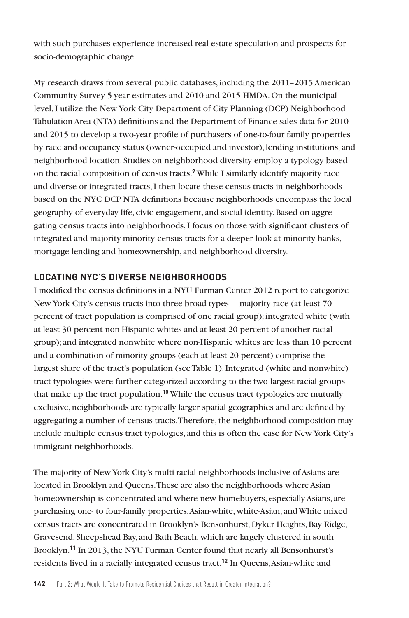with such purchases experience increased real estate speculation and prospects for socio-demographic change.

My research draws from several public databases, including the 2011–2015 American Community Survey 5-year estimates and 2010 and 2015 HMDA. On the municipal level, I utilize the New York City Department of City Planning (DCP) Neighborhood Tabulation Area (NTA) definitions and the Department of Finance sales data for 2010 and 2015 to develop a two-year profile of purchasers of one-to-four family properties by race and occupancy status (owner-occupied and investor), lending institutions, and neighborhood location. Studies on neighborhood diversity employ a typology based on the racial composition of census tracts.**<sup>9</sup>** While I similarly identify majority race and diverse or integrated tracts, I then locate these census tracts in neighborhoods based on the NYC DCP NTA definitions because neighborhoods encompass the local geography of everyday life, civic engagement, and social identity. Based on aggregating census tracts into neighborhoods, I focus on those with significant clusters of integrated and majority-minority census tracts for a deeper look at minority banks, mortgage lending and homeownership, and neighborhood diversity.

# **LOCATING NYC'S DIVERSE NEIGHBORHOODS**

I modified the census definitions in a NYU Furman Center 2012 report to categorize New York City's census tracts into three broad types—majority race (at least 70 percent of tract population is comprised of one racial group); integrated white (with at least 30 percent non-Hispanic whites and at least 20 percent of another racial group); and integrated nonwhite where non-Hispanic whites are less than 10 percent and a combination of minority groups (each at least 20 percent) comprise the largest share of the tract's population (see Table 1). Integrated (white and nonwhite) tract typologies were further categorized according to the two largest racial groups that make up the tract population.**<sup>10</sup>** While the census tract typologies are mutually exclusive, neighborhoods are typically larger spatial geographies and are defined by aggregating a number of census tracts. Therefore, the neighborhood composition may include multiple census tract typologies, and this is often the case for New York City's immigrant neighborhoods.

The majority of New York City's multi-racial neighborhoods inclusive of Asians are located in Brooklyn and Queens. These are also the neighborhoods where Asian homeownership is concentrated and where new homebuyers, especially Asians, are purchasing one- to four-family properties. Asian-white, white-Asian, and White mixed census tracts are concentrated in Brooklyn's Bensonhurst, Dyker Heights, Bay Ridge, Gravesend, Sheepshead Bay, and Bath Beach, which are largely clustered in south Brooklyn.**<sup>11</sup>** In 2013, the NYU Furman Center found that nearly all Bensonhurst's residents lived in a racially integrated census tract.**12** In Queens, Asian-white and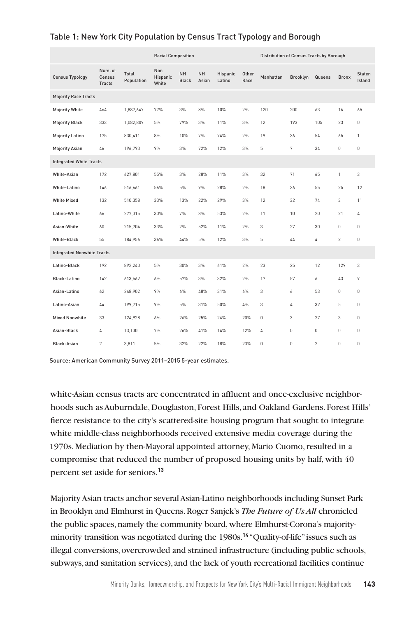|                                   |                             |                     | <b>Racial Composition</b>              |                           |                    |                           |               |           | Distribution of Census Tracts by Borough |                |                |                  |  |
|-----------------------------------|-----------------------------|---------------------|----------------------------------------|---------------------------|--------------------|---------------------------|---------------|-----------|------------------------------------------|----------------|----------------|------------------|--|
| <b>Census Typology</b>            | Num. of<br>Census<br>Tracts | Total<br>Population | <b>Non</b><br><b>Hispanic</b><br>White | <b>NH</b><br><b>Black</b> | <b>NH</b><br>Asian | <b>Hispanic</b><br>Latino | Other<br>Race | Manhattan | <b>Brooklyn</b>                          | Queens         | <b>Bronx</b>   | Staten<br>Island |  |
| <b>Majority Race Tracts</b>       |                             |                     |                                        |                           |                    |                           |               |           |                                          |                |                |                  |  |
| <b>Majority White</b>             | 464                         | 1,887,647           | 77%                                    | 3%                        | 8%                 | 10%                       | 2%            | 120       | 200                                      | 63             | 16             | 65               |  |
| <b>Majority Black</b>             | 333                         | 1,082,809           | 5%                                     | 79%                       | 3%                 | 11%                       | 3%            | 12        | 193                                      | 105            | 23             | 0                |  |
| <b>Majority Latino</b>            | 175                         | 830,411             | 8%                                     | 10%                       | 7%                 | 74%                       | 2%            | 19        | 36                                       | 54             | 65             | 1                |  |
| <b>Majority Asian</b>             | 46                          | 196,793             | 9%                                     | 3%                        | 72%                | 12%                       | 3%            | 5         | 7                                        | 34             | 0              | 0                |  |
| <b>Integrated White Tracts</b>    |                             |                     |                                        |                           |                    |                           |               |           |                                          |                |                |                  |  |
| White-Asian                       | 172                         | 627,801             | 55%                                    | 3%                        | 28%                | 11%                       | 3%            | 32        | 71                                       | 65             | 1              | 3                |  |
| White-Latino                      | 146                         | 516,661             | 56%                                    | 5%                        | 9%                 | 28%                       | 2%            | 18        | 36                                       | 55             | 25             | 12               |  |
| <b>White Mixed</b>                | 132                         | 510,358             | 33%                                    | 13%                       | 22%                | 29%                       | 3%            | 12        | 32                                       | 74             | 3              | 11               |  |
| Latino-White                      | 66                          | 277,315             | 30%                                    | 7%                        | 8%                 | 53%                       | 2%            | 11        | 10                                       | 20             | 21             | 4                |  |
| Asian-White                       | 60                          | 215,704             | 33%                                    | 2%                        | 52%                | 11%                       | 2%            | 3         | 27                                       | 30             | 0              | 0                |  |
| White-Black                       | 55                          | 184,956             | 36%                                    | 44%                       | 5%                 | 12%                       | 3%            | 5         | 44                                       | 4              | $\overline{c}$ | 0                |  |
| <b>Integrated Nonwhite Tracts</b> |                             |                     |                                        |                           |                    |                           |               |           |                                          |                |                |                  |  |
| Latino-Black                      | 192                         | 892,240             | 5%                                     | 30%                       | 3%                 | 61%                       | 2%            | 23        | 25                                       | 12             | 129            | 3                |  |
| Black-Latino                      | 142                         | 613,562             | 6%                                     | 57%                       | 3%                 | 32%                       | 2%            | 17        | 57                                       | 6              | 43             | 9                |  |
| Asian-Latino                      | 62                          | 248,902             | 9%                                     | 6%                        | 48%                | 31%                       | 6%            | 3         | 6                                        | 53             | 0              | 0                |  |
| Latino-Asian                      | 44                          | 199,715             | 9%                                     | 5%                        | 31%                | 50%                       | 4%            | 3         | 4                                        | 32             | 5              | 0                |  |
| <b>Mixed Nonwhite</b>             | 33                          | 124,928             | 6%                                     | 26%                       | 25%                | 24%                       | 20%           | $\bf 0$   | 3                                        | 27             | 3              | 0                |  |
| Asian-Black                       | 4                           | 13,130              | 7%                                     | 26%                       | 41%                | 14%                       | 12%           | 4         | $\mathbf 0$                              | $\mathbf 0$    | 0              | 0                |  |
| Black-Asian                       | $\overline{c}$              | 3,811               | 5%                                     | 32%                       | 22%                | 18%                       | 23%           | $\Omega$  | $\Omega$                                 | $\mathfrak{p}$ | $\Omega$       | $\Omega$         |  |

## Table 1: New York City Population by Census Tract Typology and Borough

Source: American Community Survey 2011–2015 5-year estimates.

white-Asian census tracts are concentrated in affluent and once-exclusive neighborhoods such as Auburndale, Douglaston, Forest Hills, and Oakland Gardens. Forest Hills' fierce resistance to the city's scattered-site housing program that sought to integrate white middle-class neighborhoods received extensive media coverage during the 1970s. Mediation by then-Mayoral appointed attorney, Mario Cuomo, resulted in a compromise that reduced the number of proposed housing units by half, with 40 percent set aside for seniors.**<sup>13</sup>**

Majority Asian tracts anchor several Asian-Latino neighborhoods including Sunset Park in Brooklyn and Elmhurst in Queens. Roger Sanjek's *The Future of Us All* chronicled the public spaces, namely the community board, where Elmhurst-Corona's majorityminority transition was negotiated during the 1980s.**<sup>14</sup>** "Quality-of-life" issues such as illegal conversions, overcrowded and strained infrastructure (including public schools, subways, and sanitation services), and the lack of youth recreational facilities continue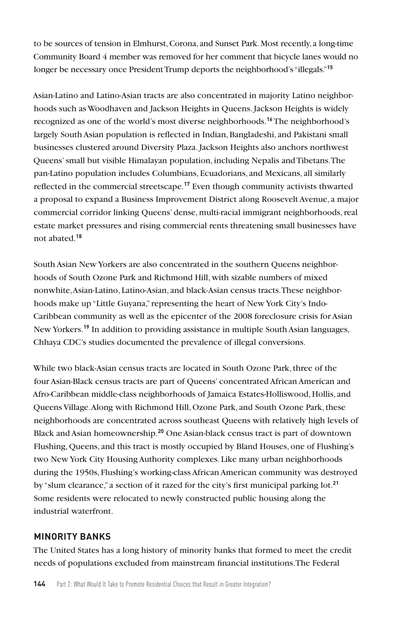to be sources of tension in Elmhurst, Corona, and Sunset Park. Most recently, a long-time Community Board 4 member was removed for her comment that bicycle lanes would no longer be necessary once President Trump deports the neighborhood's "illegals."**<sup>15</sup>**

Asian-Latino and Latino-Asian tracts are also concentrated in majority Latino neighborhoods such as Woodhaven and Jackson Heights in Queens. Jackson Heights is widely recognized as one of the world's most diverse neighborhoods.**<sup>16</sup>** The neighborhood's largely South Asian population is reflected in Indian, Bangladeshi, and Pakistani small businesses clustered around Diversity Plaza. Jackson Heights also anchors northwest Queens' small but visible Himalayan population, including Nepalis and Tibetans. The pan-Latino population includes Columbians, Ecuadorians, and Mexicans, all similarly reflected in the commercial streetscape.**<sup>17</sup>** Even though community activists thwarted a proposal to expand a Business Improvement District along Roosevelt Avenue, a major commercial corridor linking Queens' dense, multi-racial immigrant neighborhoods, real estate market pressures and rising commercial rents threatening small businesses have not abated.**<sup>18</sup>**

South Asian New Yorkers are also concentrated in the southern Queens neighborhoods of South Ozone Park and Richmond Hill, with sizable numbers of mixed nonwhite, Asian-Latino, Latino-Asian, and black-Asian census tracts. These neighborhoods make up "Little Guyana," representing the heart of New York City's Indo-Caribbean community as well as the epicenter of the 2008 foreclosure crisis for Asian New Yorkers.**<sup>19</sup>** In addition to providing assistance in multiple South Asian languages, Chhaya CDC's studies documented the prevalence of illegal conversions.

While two black-Asian census tracts are located in South Ozone Park, three of the four Asian-Black census tracts are part of Queens' concentrated African American and Afro-Caribbean middle-class neighborhoods of Jamaica Estates-Holliswood, Hollis, and Queens Village. Along with Richmond Hill, Ozone Park, and South Ozone Park, these neighborhoods are concentrated across southeast Queens with relatively high levels of Black and Asian homeownership.**<sup>20</sup>** One Asian-black census tract is part of downtown Flushing, Queens, and this tract is mostly occupied by Bland Houses, one of Flushing's two New York City Housing Authority complexes. Like many urban neighborhoods during the 1950s, Flushing's working-class African American community was destroyed by "slum clearance," a section of it razed for the city's first municipal parking lot.**<sup>21</sup>** Some residents were relocated to newly constructed public housing along the industrial waterfront.

# **MINORITY BANKS**

The United States has a long history of minority banks that formed to meet the credit needs of populations excluded from mainstream financial institutions. The Federal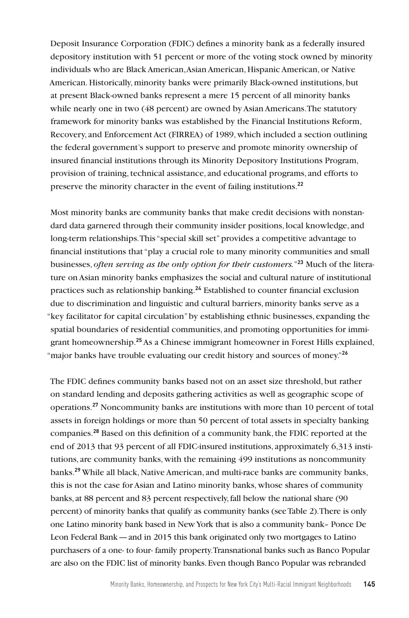Deposit Insurance Corporation (FDIC) defines a minority bank as a federally insured depository institution with 51 percent or more of the voting stock owned by minority individuals who are Black American, Asian American, Hispanic American, or Native American. Historically, minority banks were primarily Black-owned institutions, but at present Black-owned banks represent a mere 15 percent of all minority banks while nearly one in two (48 percent) are owned by Asian Americans. The statutory framework for minority banks was established by the Financial Institutions Reform, Recovery, and Enforcement Act (FIRREA) of 1989, which included a section outlining the federal government's support to preserve and promote minority ownership of insured financial institutions through its Minority Depository Institutions Program, provision of training, technical assistance, and educational programs, and efforts to preserve the minority character in the event of failing institutions.**<sup>22</sup>**

Most minority banks are community banks that make credit decisions with nonstandard data garnered through their community insider positions, local knowledge, and long-term relationships. This "special skill set" provides a competitive advantage to financial institutions that "play a crucial role to many minority communities and small businesses, *often serving as the only option for their customers.*"**23** Much of the literature on Asian minority banks emphasizes the social and cultural nature of institutional practices such as relationship banking.**<sup>24</sup>** Established to counter financial exclusion due to discrimination and linguistic and cultural barriers, minority banks serve as a "key facilitator for capital circulation" by establishing ethnic businesses, expanding the spatial boundaries of residential communities, and promoting opportunities for immigrant homeownership.**<sup>25</sup>** As a Chinese immigrant homeowner in Forest Hills explained, "major banks have trouble evaluating our credit history and sources of money."**<sup>26</sup>**

The FDIC defines community banks based not on an asset size threshold, but rather on standard lending and deposits gathering activities as well as geographic scope of operations.**<sup>27</sup>** Noncommunity banks are institutions with more than 10 percent of total assets in foreign holdings or more than 50 percent of total assets in specialty banking companies.**<sup>28</sup>** Based on this definition of a community bank, the FDIC reported at the end of 2013 that 93 percent of all FDIC-insured institutions, approximately 6,313 institutions, are community banks, with the remaining 499 institutions as noncommunity banks.**<sup>29</sup>** While all black, Native American, and multi-race banks are community banks, this is not the case for Asian and Latino minority banks, whose shares of community banks, at 88 percent and 83 percent respectively, fall below the national share (90 percent) of minority banks that qualify as community banks (see Table 2). There is only one Latino minority bank based in New York that is also a community bank– Ponce De Leon Federal Bank—and in 2015 this bank originated only two mortgages to Latino purchasers of a one- to four- family property. Transnational banks such as Banco Popular are also on the FDIC list of minority banks. Even though Banco Popular was rebranded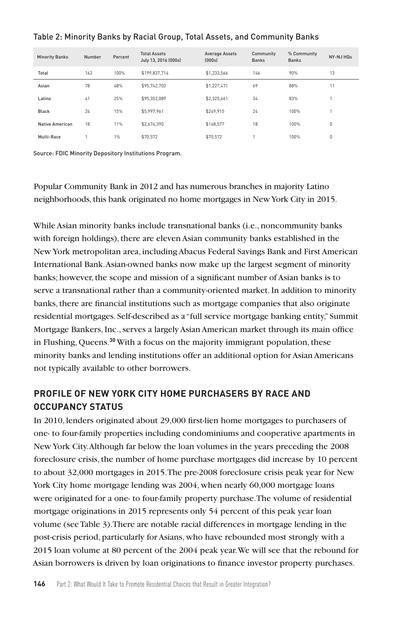| <b>Minority Banks</b> | Number | Percent | <b>Total Assets</b><br>July 13, 2016 (000s) | <b>Average Assets</b><br>[000s] | Community<br><b>Banks</b> | % Community<br><b>Banks</b> | NY-NJ HQs |
|-----------------------|--------|---------|---------------------------------------------|---------------------------------|---------------------------|-----------------------------|-----------|
| Total                 | 162    | 100%    | \$199.837.714                               | \$1,233,566                     | 146                       | 90%                         | 13        |
| Asian                 | 78     | 48%     | \$95,742.702                                | \$1,227,471                     | 69                        | 88%                         | 11        |
| Latino                | 41     | 25%     | \$95,352,089                                | \$2,325,661                     | 34                        | 83%                         |           |
| Black                 | 24     | 15%     | \$5,997.961                                 | \$249.915                       | 24                        | 100%                        |           |
| Native American       | 18     | 11%     | \$2,674.390                                 | \$148.577                       | 18                        | 100%                        | $\theta$  |
| Multi-Race            |        | 1%      | \$70.572                                    | \$70.572                        |                           | 100%                        | $\theta$  |

#### Table 2: Minority Banks by Racial Group, Total Assets, and Community Banks

Source: FDIC Minority Depository Institutions Program.

Popular Community Bank in 2012 and has numerous branches in majority Latino neighborhoods, this bank originated no home mortgages in New York City in 2015.

While Asian minority banks include transnational banks (i.e., noncommunity banks with foreign holdings), there are eleven Asian community banks established in the New York metropolitan area, including Abacus Federal Savings Bank and First American International Bank. Asian-owned banks now make up the largest segment of minority banks; however, the scope and mission of a significant number of Asian banks is to serve a transnational rather than a community-oriented market. In addition to minority banks, there are financial institutions such as mortgage companies that also originate residential mortgages. Self-described as a "full service mortgage banking entity," Summit Mortgage Bankers, Inc., serves a largely Asian American market through its main office in Flushing, Queens.**<sup>30</sup>** With a focus on the majority immigrant population, these minority banks and lending institutions offer an additional option for Asian Americans not typically available to other borrowers.

# **PROFILE OF NEW YORK CITY HOME PURCHASERS BY RACE AND OCCUPANCY STATUS**

In 2010, lenders originated about 29,000 first-lien home mortgages to purchasers of one- to four-family properties including condominiums and cooperative apartments in New York City. Although far below the loan volumes in the years preceding the 2008 foreclosure crisis, the number of home purchase mortgages did increase by 10 percent to about 32,000 mortgages in 2015. The pre-2008 foreclosure crisis peak year for New York City home mortgage lending was 2004, when nearly 60,000 mortgage loans were originated for a one- to four-family property purchase. The volume of residential mortgage originations in 2015 represents only 54 percent of this peak year loan volume (see Table 3). There are notable racial differences in mortgage lending in the post-crisis period, particularly for Asians, who have rebounded most strongly with a 2015 loan volume at 80 percent of the 2004 peak year. We will see that the rebound for Asian borrowers is driven by loan originations to finance investor property purchases.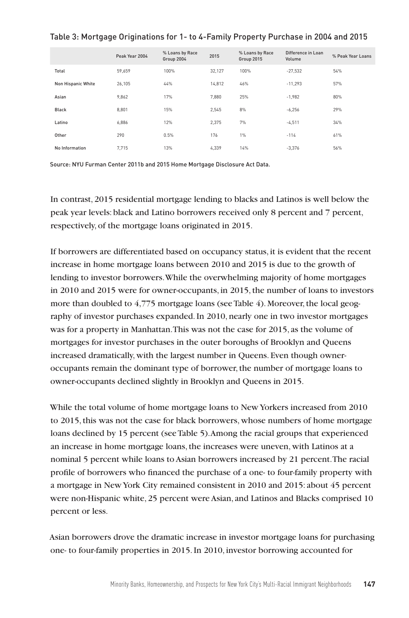#### Table 3: Mortgage Originations for 1- to 4-Family Property Purchase in 2004 and 2015

|                    | Peak Year 2004 | % Loans by Race<br>Group 2004 | 2015   | % Loans by Race<br>Group 2015 | Difference in Loan<br>Volume | % Peak Year Loans |
|--------------------|----------------|-------------------------------|--------|-------------------------------|------------------------------|-------------------|
| Total              | 59.659         | 100%                          | 32,127 | 100%                          | $-27,532$                    | 54%               |
| Non Hispanic White | 26,105         | 44%                           | 14,812 | 46%                           | $-11,293$                    | 57%               |
| Asian              | 9,862          | 17%                           | 7.880  | 25%                           | $-1,982$                     | 80%               |
| Black              | 8.801          | 15%                           | 2.545  | 8%                            | $-6,256$                     | 29%               |
| Latino             | 6,886          | 12%                           | 2,375  | 7%                            | $-4,511$                     | 34%               |
| Other              | 290            | 0.5%                          | 176    | 1%                            | $-114$                       | 61%               |
| No Information     | 7,715          | 13%                           | 4,339  | 14%                           | $-3,376$                     | 56%               |

Source: NYU Furman Center 2011b and 2015 Home Mortgage Disclosure Act Data.

In contrast, 2015 residential mortgage lending to blacks and Latinos is well below the peak year levels: black and Latino borrowers received only 8 percent and 7 percent, respectively, of the mortgage loans originated in 2015.

If borrowers are differentiated based on occupancy status, it is evident that the recent increase in home mortgage loans between 2010 and 2015 is due to the growth of lending to investor borrowers. While the overwhelming majority of home mortgages in 2010 and 2015 were for owner-occupants, in 2015, the number of loans to investors more than doubled to 4,775 mortgage loans (see Table 4). Moreover, the local geography of investor purchases expanded. In 2010, nearly one in two investor mortgages was for a property in Manhattan. This was not the case for 2015, as the volume of mortgages for investor purchases in the outer boroughs of Brooklyn and Queens increased dramatically, with the largest number in Queens. Even though owneroccupants remain the dominant type of borrower, the number of mortgage loans to owner-occupants declined slightly in Brooklyn and Queens in 2015.

While the total volume of home mortgage loans to New Yorkers increased from 2010 to 2015, this was not the case for black borrowers, whose numbers of home mortgage loans declined by 15 percent (see Table 5). Among the racial groups that experienced an increase in home mortgage loans, the increases were uneven, with Latinos at a nominal 5 percent while loans to Asian borrowers increased by 21 percent. The racial profile of borrowers who financed the purchase of a one- to four-family property with a mortgage in New York City remained consistent in 2010 and 2015: about 45 percent were non-Hispanic white, 25 percent were Asian, and Latinos and Blacks comprised 10 percent or less.

Asian borrowers drove the dramatic increase in investor mortgage loans for purchasing one- to four-family properties in 2015. In 2010, investor borrowing accounted for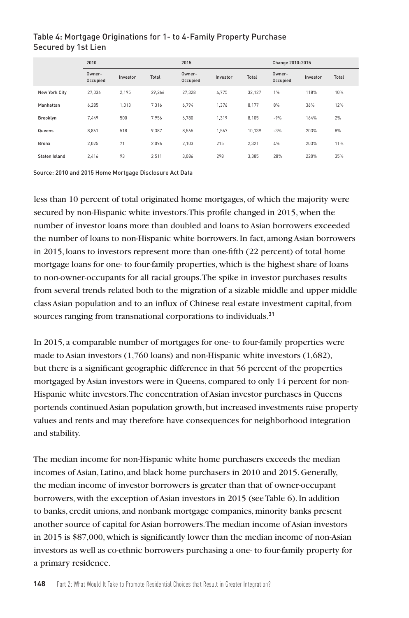## 2010 2015 Change 2010-2015 Owner-Occupied Investor Total Owner-Occupied Investor Total Owner-Owner-<br>Occupied Investor Total New York City 27,036 2,195 29,266 27,328 4,775 32,127 1% 118% 10% Manhattan 6,285 1,013 7,316 6,794 1,376 8,177 8% 36% 12% Brooklyn 7,449 500 7,956 6,780 1,319 8,105 -9% 164% 2% Queens 8,861 518 9,387 8,565 1,567 10,139 -3% 203% 8% Bronx 2,025 71 2,096 2,103 215 2,321 4% 203% 11%

Staten Island 2,416 93 2,511 3,086 298 3,385 28% 220% 35%

# Table 4: Mortgage Originations for 1- to 4-Family Property Purchase Secured by 1st Lien

Source: 2010 and 2015 Home Mortgage Disclosure Act Data

less than 10 percent of total originated home mortgages, of which the majority were secured by non-Hispanic white investors. This profile changed in 2015, when the number of investor loans more than doubled and loans to Asian borrowers exceeded the number of loans to non-Hispanic white borrowers. In fact, among Asian borrowers in 2015, loans to investors represent more than one-fifth (22 percent) of total home mortgage loans for one- to four-family properties, which is the highest share of loans to non-owner-occupants for all racial groups. The spike in investor purchases results from several trends related both to the migration of a sizable middle and upper middle class Asian population and to an influx of Chinese real estate investment capital, from sources ranging from transnational corporations to individuals.**<sup>31</sup>**

In 2015, a comparable number of mortgages for one- to four-family properties were made to Asian investors (1,760 loans) and non-Hispanic white investors (1,682), but there is a significant geographic difference in that 56 percent of the properties mortgaged by Asian investors were in Queens, compared to only 14 percent for non-Hispanic white investors. The concentration of Asian investor purchases in Queens portends continued Asian population growth, but increased investments raise property values and rents and may therefore have consequences for neighborhood integration and stability.

The median income for non-Hispanic white home purchasers exceeds the median incomes of Asian, Latino, and black home purchasers in 2010 and 2015. Generally, the median income of investor borrowers is greater than that of owner-occupant borrowers, with the exception of Asian investors in 2015 (see Table 6). In addition to banks, credit unions, and nonbank mortgage companies, minority banks present another source of capital for Asian borrowers. The median income of Asian investors in 2015 is \$87,000, which is significantly lower than the median income of non-Asian investors as well as co-ethnic borrowers purchasing a one- to four-family property for a primary residence.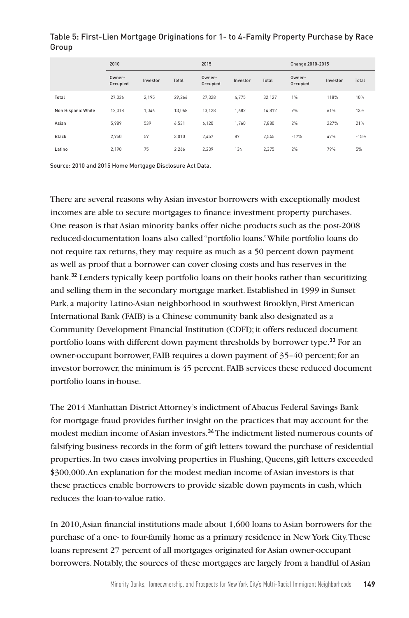|                    | 2010               |          |        | 2015               |          |        | Change 2010-2015   |          |        |
|--------------------|--------------------|----------|--------|--------------------|----------|--------|--------------------|----------|--------|
|                    | Owner-<br>Occupied | Investor | Total  | Owner-<br>Occupied | Investor | Total  | Owner-<br>Occupied | Investor | Total  |
| Total              | 27.036             | 2.195    | 29.266 | 27.328             | 4.775    | 32.127 | 1%                 | 118%     | 10%    |
| Non Hispanic White | 12.018             | 1.046    | 13.068 | 13.128             | 1.682    | 14,812 | 9%                 | 61%      | 13%    |
| Asian              | 5.989              | 539      | 6.531  | 6.120              | 1.760    | 7,880  | 2%                 | 227%     | 21%    |
| Black              | 2.950              | 59       | 3.010  | 2.457              | 87       | 2.545  | $-17%$             | 47%      | $-15%$ |
| Latino             | 2.190              | 75       | 2.266  | 2.239              | 134      | 2.375  | 2%                 | 79%      | 5%     |

# Table 5: First-Lien Mortgage Originations for 1- to 4-Family Property Purchase by Race Group

Source: 2010 and 2015 Home Mortgage Disclosure Act Data.

There are several reasons why Asian investor borrowers with exceptionally modest incomes are able to secure mortgages to finance investment property purchases. One reason is that Asian minority banks offer niche products such as the post-2008 reduced-documentation loans also called "portfolio loans." While portfolio loans do not require tax returns, they may require as much as a 50 percent down payment as well as proof that a borrower can cover closing costs and has reserves in the bank.**<sup>32</sup>** Lenders typically keep portfolio loans on their books rather than securitizing and selling them in the secondary mortgage market. Established in 1999 in Sunset Park, a majority Latino-Asian neighborhood in southwest Brooklyn, First American International Bank (FAIB) is a Chinese community bank also designated as a Community Development Financial Institution (CDFI); it offers reduced document portfolio loans with different down payment thresholds by borrower type.**<sup>33</sup>** For an owner-occupant borrower, FAIB requires a down payment of 35–40 percent; for an investor borrower, the minimum is 45 percent. FAIB services these reduced document portfolio loans in-house.

The 2014 Manhattan District Attorney's indictment of Abacus Federal Savings Bank for mortgage fraud provides further insight on the practices that may account for the modest median income of Asian investors.**<sup>34</sup>** The indictment listed numerous counts of falsifying business records in the form of gift letters toward the purchase of residential properties. In two cases involving properties in Flushing, Queens, gift letters exceeded \$300,000. An explanation for the modest median income of Asian investors is that these practices enable borrowers to provide sizable down payments in cash, which reduces the loan-to-value ratio.

In 2010, Asian financial institutions made about 1,600 loans to Asian borrowers for the purchase of a one- to four-family home as a primary residence in New York City. These loans represent 27 percent of all mortgages originated for Asian owner-occupant borrowers. Notably, the sources of these mortgages are largely from a handful of Asian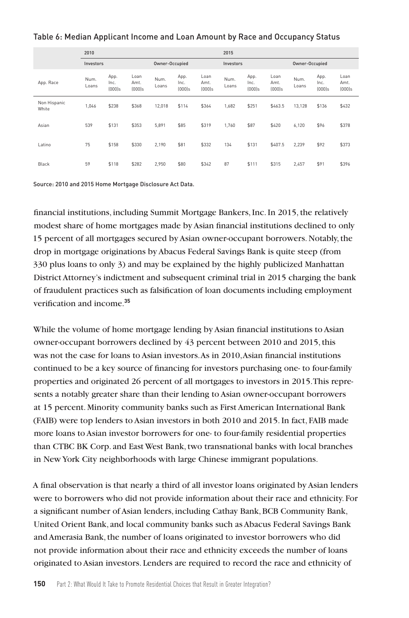#### Table 6: Median Applicant Income and Loan Amount by Race and Occupancy Status

|                       | 2010          |                           |                           |                |                           |                           | 2015          |                           |                           |                |                           |                           |
|-----------------------|---------------|---------------------------|---------------------------|----------------|---------------------------|---------------------------|---------------|---------------------------|---------------------------|----------------|---------------------------|---------------------------|
|                       | Investors     |                           |                           | Owner-Occupied |                           |                           | Investors     |                           |                           | Owner-Occupied |                           |                           |
| App. Race             | Num.<br>Loans | App.<br>Inc.<br>$[000]$ s | Loan<br>Amt.<br>$[000]$ s | Num.<br>Loans  | App.<br>Inc.<br>$[000]$ s | Loan<br>Amt.<br>$[000]$ s | Num.<br>Loans | App.<br>Inc.<br>$[000]$ s | Loan<br>Amt.<br>$[000]$ s | Num.<br>Loans  | App.<br>Inc.<br>$[000]$ s | Loan<br>Amt.<br>$[000]$ s |
| Non Hispanic<br>White | 1.046         | \$238                     | \$368                     | 12.018         | \$114                     | \$364                     | 1.682         | \$251                     | \$463.5                   | 13.128         | \$136                     | \$432                     |
| Asian                 | 539           | \$131                     | \$353                     | 5.891          | \$85                      | \$319                     | 1.760         | \$87                      | \$420                     | 6.120          | \$96                      | \$378                     |
| Latino                | 75            | \$158                     | \$330                     | 2.190          | \$81                      | \$332                     | 134           | \$131                     | \$407.5                   | 2,239          | \$92                      | \$373                     |
| Black                 | 59            | \$118                     | \$282                     | 2,950          | \$80                      | \$342                     | 87            | \$111                     | \$315                     | 2,457          | \$91                      | \$396                     |

Source: 2010 and 2015 Home Mortgage Disclosure Act Data.

financial institutions, including Summit Mortgage Bankers, Inc. In 2015, the relatively modest share of home mortgages made by Asian financial institutions declined to only 15 percent of all mortgages secured by Asian owner-occupant borrowers. Notably, the drop in mortgage originations by Abacus Federal Savings Bank is quite steep (from 330 plus loans to only 3) and may be explained by the highly publicized Manhattan District Attorney's indictment and subsequent criminal trial in 2015 charging the bank of fraudulent practices such as falsification of loan documents including employment verification and income.**<sup>35</sup>**

While the volume of home mortgage lending by Asian financial institutions to Asian owner-occupant borrowers declined by 43 percent between 2010 and 2015, this was not the case for loans to Asian investors. As in 2010, Asian financial institutions continued to be a key source of financing for investors purchasing one- to four-family properties and originated 26 percent of all mortgages to investors in 2015. This represents a notably greater share than their lending to Asian owner-occupant borrowers at 15 percent. Minority community banks such as First American International Bank (FAIB) were top lenders to Asian investors in both 2010 and 2015. In fact, FAIB made more loans to Asian investor borrowers for one- to four-family residential properties than CTBC BK Corp. and East West Bank, two transnational banks with local branches in New York City neighborhoods with large Chinese immigrant populations.

A final observation is that nearly a third of all investor loans originated by Asian lenders were to borrowers who did not provide information about their race and ethnicity. For a significant number of Asian lenders, including Cathay Bank, BCB Community Bank, United Orient Bank, and local community banks such as Abacus Federal Savings Bank and Amerasia Bank, the number of loans originated to investor borrowers who did not provide information about their race and ethnicity exceeds the number of loans originated to Asian investors. Lenders are required to record the race and ethnicity of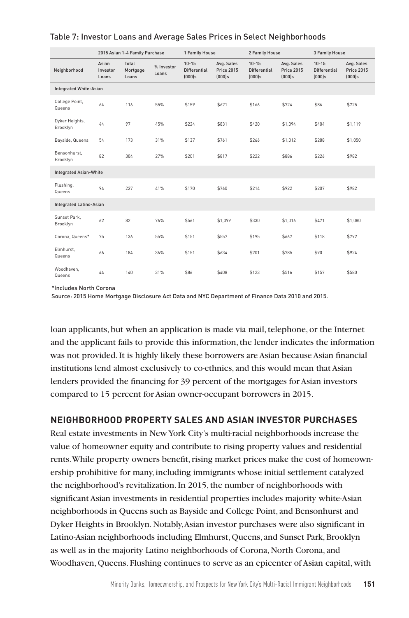|                               | 2015 Asian 1-4 Family Purchase |                            | 1 Family House      |                                               |                                              | 2 Family House                                |                                              | 3 Family House                                |                                              |
|-------------------------------|--------------------------------|----------------------------|---------------------|-----------------------------------------------|----------------------------------------------|-----------------------------------------------|----------------------------------------------|-----------------------------------------------|----------------------------------------------|
| Neighborhood                  | Asian<br>Investor<br>Loans     | Total<br>Mortgage<br>Loans | % Investor<br>Loans | $10 - 15$<br><b>Differential</b><br>$(000)$ s | Avg. Sales<br><b>Price 2015</b><br>$[000]$ s | $10 - 15$<br><b>Differential</b><br>$[000]$ s | Avg. Sales<br><b>Price 2015</b><br>$[000]$ s | $10 - 15$<br><b>Differential</b><br>$[000]$ s | Avg. Sales<br><b>Price 2015</b><br>$[000]$ s |
| Integrated White-Asian        |                                |                            |                     |                                               |                                              |                                               |                                              |                                               |                                              |
| College Point,<br>Queens      | 64                             | 116                        | 55%                 | \$159                                         | \$621                                        | \$166                                         | \$724                                        | \$86                                          | \$725                                        |
| Dyker Heights,<br>Brooklyn    | 44                             | 97                         | 45%                 | \$224                                         | \$831                                        | \$420                                         | \$1.094                                      | \$404                                         | \$1.119                                      |
| Bayside, Queens               | 54                             | 173                        | 31%                 | \$137                                         | \$761                                        | \$266                                         | \$1,012                                      | \$288                                         | \$1,050                                      |
| Bensonhurst.<br>Brooklyn      | 82                             | 304                        | 27%                 | \$201                                         | \$817                                        | \$222                                         | \$886                                        | \$226                                         | \$982                                        |
| <b>Integrated Asian-White</b> |                                |                            |                     |                                               |                                              |                                               |                                              |                                               |                                              |
| Flushing,<br>Queens           | 94                             | 227                        | 41%                 | \$170                                         | \$760                                        | \$214                                         | \$922                                        | \$207                                         | \$982                                        |
| Integrated Latino-Asian       |                                |                            |                     |                                               |                                              |                                               |                                              |                                               |                                              |
| Sunset Park.<br>Brooklyn      | 62                             | 82                         | 76%                 | \$561                                         | \$1,099                                      | \$330                                         | \$1,016                                      | \$471                                         | \$1,080                                      |
| Corona, Queens*               | 75                             | 136                        | 55%                 | \$151                                         | \$557                                        | \$195                                         | \$667                                        | \$118                                         | \$792                                        |
| Elmhurst.<br>Queens           | 66                             | 184                        | 36%                 | \$151                                         | \$634                                        | \$201                                         | \$785                                        | \$90                                          | \$924                                        |
| Woodhaven.<br>Queens          | 44                             | 140                        | 31%                 | \$86                                          | \$408                                        | \$123                                         | \$516                                        | \$157                                         | \$580                                        |

#### Table 7: Investor Loans and Average Sales Prices in Select Neighborhoods

\*Includes North Corona

Source: 2015 Home Mortgage Disclosure Act Data and NYC Department of Finance Data 2010 and 2015.

loan applicants, but when an application is made via mail, telephone, or the Internet and the applicant fails to provide this information, the lender indicates the information was not provided. It is highly likely these borrowers are Asian because Asian financial institutions lend almost exclusively to co-ethnics, and this would mean that Asian lenders provided the financing for 39 percent of the mortgages for Asian investors compared to 15 percent for Asian owner-occupant borrowers in 2015.

# **NEIGHBORHOOD PROPERTY SALES AND ASIAN INVESTOR PURCHASES**

Real estate investments in New York City's multi-racial neighborhoods increase the value of homeowner equity and contribute to rising property values and residential rents. While property owners benefit, rising market prices make the cost of homeownership prohibitive for many, including immigrants whose initial settlement catalyzed the neighborhood's revitalization. In 2015, the number of neighborhoods with significant Asian investments in residential properties includes majority white-Asian neighborhoods in Queens such as Bayside and College Point, and Bensonhurst and Dyker Heights in Brooklyn. Notably, Asian investor purchases were also significant in Latino-Asian neighborhoods including Elmhurst, Queens, and Sunset Park, Brooklyn as well as in the majority Latino neighborhoods of Corona, North Corona, and Woodhaven, Queens. Flushing continues to serve as an epicenter of Asian capital, with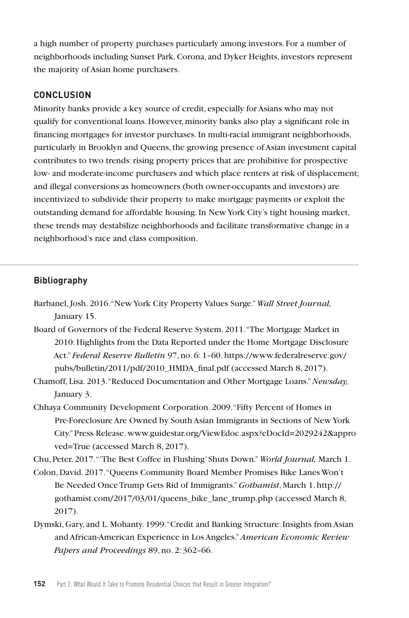a high number of property purchases particularly among investors. For a number of neighborhoods including Sunset Park, Corona, and Dyker Heights, investors represent the majority of Asian home purchasers.

#### **CONCLUSION**

Minority banks provide a key source of credit, especially for Asians who may not qualify for conventional loans. However, minority banks also play a significant role in financing mortgages for investor purchases. In multi-racial immigrant neighborhoods, particularly in Brooklyn and Queens, the growing presence of Asian investment capital contributes to two trends: rising property prices that are prohibitive for prospective low- and moderate-income purchasers and which place renters at risk of displacement; and illegal conversions as homeowners (both owner-occupants and investors) are incentivized to subdivide their property to make mortgage payments or exploit the outstanding demand for affordable housing. In New York City's tight housing market, these trends may destabilize neighborhoods and facilitate transformative change in a neighborhood's race and class composition.

## **Bibliography**

- Barbanel, Josh. 2016. "New York City Property Values Surge." *Wall Street Journal,* January 15.
- Board of Governors of the Federal Reserve System. 2011. "The Mortgage Market in 2010: Highlights from the Data Reported under the Home Mortgage Disclosure Act." *Federal Reserve Bulletin* 97, no. 6: 1–60. https://www.federalreserve.gov/ pubs/bulletin/2011/pdf/2010\_HMDA\_final.pdf (accessed March 8, 2017).
- Chamoff, Lisa. 2013. "Reduced Documentation and Other Mortgage Loans." *Newsday,* January 3.
- Chhaya Community Development Corporation. 2009. "Fifty Percent of Homes in Pre-Foreclosure Are Owned by South Asian Immigrants in Sections of New York City." Press Release. www.guidestar.org/ViewEdoc.aspx?eDocId=2029242&appro ved=True (accessed March 8, 2017).

Chu, Peter. 2017. "'The Best Coffee in Flushing' Shuts Down." *World Journal,* March 1.

- Colon, David. 2017. "Queens Community Board Member Promises Bike Lanes Won't Be Needed Once Trump Gets Rid of Immigrants." *Gothamist*, March 1. http:// gothamist.com/2017/03/01/queens\_bike\_lane\_trump.php (accessed March 8, 2017).
- Dymski, Gary, and L. Mohanty. 1999. "Credit and Banking Structure: Insights from Asian and African-American Experience in Los Angeles." *American Economic Review Papers and Proceedings* 89, no. 2: 362–66.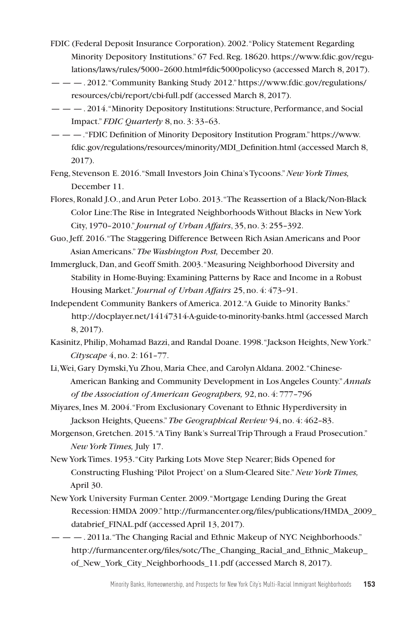- FDIC (Federal Deposit Insurance Corporation). 2002. "Policy Statement Regarding Minority Depository Institutions." 67 Fed. Reg. 18620. https://www.fdic.gov/regulations/laws/rules/5000–2600.html#fdic5000policyso (accessed March 8, 2017).
- — —. 2012. "Community Banking Study 2012." https://www.fdic.gov/regulations/ resources/cbi/report/cbi-full.pdf (accessed March 8, 2017).
- — —. 2014. "Minority Depository Institutions: Structure, Performance, and Social Impact." *FDIC Quarterly* 8, no. 3: 33–63.
- — —. "FDIC Definition of Minority Depository Institution Program." https://www. fdic.gov/regulations/resources/minority/MDI\_Definition.html (accessed March 8, 2017).
- Feng, Stevenson E. 2016. "Small Investors Join China's Tycoons." *New York Times,* December 11.
- Flores, Ronald J.O., and Arun Peter Lobo. 2013. "The Reassertion of a Black/Non-Black Color Line: The Rise in Integrated Neighborhoods Without Blacks in New York City, 1970–2010." *Journal of Urban Affairs*, 35, no. 3: 255–392.
- Guo, Jeff. 2016. "The Staggering Difference Between Rich Asian Americans and Poor Asian Americans." *The Washington Post,* December 20.
- Immergluck, Dan, and Geoff Smith. 2003. "Measuring Neighborhood Diversity and Stability in Home-Buying: Examining Patterns by Race and Income in a Robust Housing Market." *Journal of Urban Affairs* 25, no. 4: 473–91.
- Independent Community Bankers of America. 2012. "A Guide to Minority Banks." http://docplayer.net/14147314-A-guide-to-minority-banks.html (accessed March 8, 2017).
- Kasinitz, Philip, Mohamad Bazzi, and Randal Doane. 1998. "Jackson Heights, New York." *Cityscape* 4, no. 2: 161–77.
- Li, Wei, Gary Dymski, Yu Zhou, Maria Chee, and Carolyn Aldana. 2002. "Chinese-American Banking and Community Development in Los Angeles County." *Annals of the Association of American Geographers,* 92, no. 4: 777–796

Miyares, Ines M. 2004. "From Exclusionary Covenant to Ethnic Hyperdiversity in Jackson Heights, Queens." *The Geographical Review* 94, no. 4: 462–83.

- Morgenson, Gretchen. 2015. "A Tiny Bank's Surreal Trip Through a Fraud Prosecution." *New York Times,* July 17.
- New York Times. 1953. "City Parking Lots Move Step Nearer; Bids Opened for Constructing Flushing 'Pilot Project' on a Slum-Cleared Site." *New York Times,* April 30.
- New York University Furman Center. 2009. "Mortgage Lending During the Great Recession: HMDA 2009." http://furmancenter.org/files/publications/HMDA\_2009\_ databrief\_FINAL.pdf (accessed April 13, 2017).
- — —. 2011a. "The Changing Racial and Ethnic Makeup of NYC Neighborhoods." http://furmancenter.org/files/sotc/The\_Changing\_Racial\_and\_Ethnic\_Makeup\_ of New York City Neighborhoods 11.pdf (accessed March 8, 2017).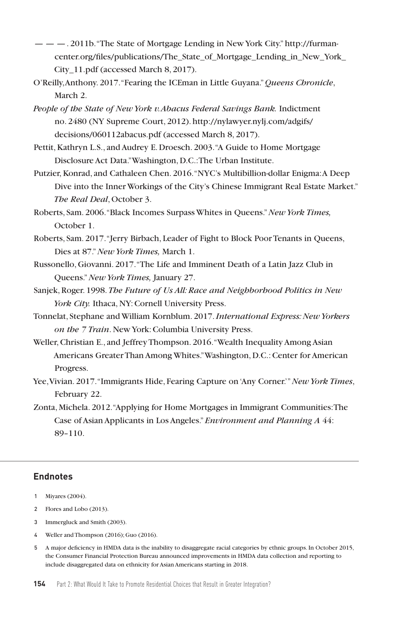- $\mu = -1.2011b$ . "The State of Mortgage Lending in New York City." http://furmancenter.org/files/publications/The\_State\_of\_Mortgage\_Lending\_in\_New\_York\_ City\_11.pdf (accessed March 8, 2017).
- O'Reilly, Anthony. 2017. "Fearing the ICEman in Little Guyana." *Queens Chronicle*, March 2.
- *People of the State of New York v. Abacus Federal Savings Bank.* Indictment no. 2480 (NY Supreme Court, 2012). http://nylawyer.nylj.com/adgifs/ decisions/060112abacus.pdf (accessed March 8, 2017).
- Pettit, Kathryn L.S., and Audrey E. Droesch. 2003. "A Guide to Home Mortgage Disclosure Act Data." Washington, D.C.: The Urban Institute.
- Putzier, Konrad, and Cathaleen Chen. 2016. "NYC's Multibillion-dollar Enigma: A Deep Dive into the Inner Workings of the City's Chinese Immigrant Real Estate Market." *The Real Deal*, October 3.
- Roberts, Sam. 2006. "Black Incomes Surpass Whites in Queens." *New York Times,* October 1.
- Roberts, Sam. 2017. "Jerry Birbach, Leader of Fight to Block Poor Tenants in Queens, Dies at 87." *New York Times,* March 1.
- Russonello, Giovanni. 2017. "The Life and Imminent Death of a Latin Jazz Club in Queens." *New York Times,* January 27.
- Sanjek, Roger. 1998. *The Future of Us All: Race and Neighborhood Politics in New York City.* Ithaca, NY: Cornell University Press.
- Tonnelat, Stephane and William Kornblum. 2017. *International Express: New Yorkers on the 7 Train*. New York: Columbia University Press.
- Weller, Christian E., and Jeffrey Thompson. 2016. "Wealth Inequality Among Asian Americans Greater Than Among Whites." Washington, D.C.: Center for American Progress.
- Yee, Vivian. 2017. "Immigrants Hide, Fearing Capture on 'Any Corner.'" *New York Times*, February 22.
- Zonta, Michela. 2012. "Applying for Home Mortgages in Immigrant Communities: The Case of Asian Applicants in Los Angeles." *Environment and Planning A* 44: 89–110.

# **Endnotes**

- 1 Miyares (2004).
- 2 Flores and Lobo (2013).
- 3 Immergluck and Smith (2003).
- 4 Weller and Thompson (2016); Guo (2016).
- 5 A major deficiency in HMDA data is the inability to disaggregate racial categories by ethnic groups. In October 2015, the Consumer Financial Protection Bureau announced improvements in HMDA data collection and reporting to include disaggregated data on ethnicity for Asian Americans starting in 2018.